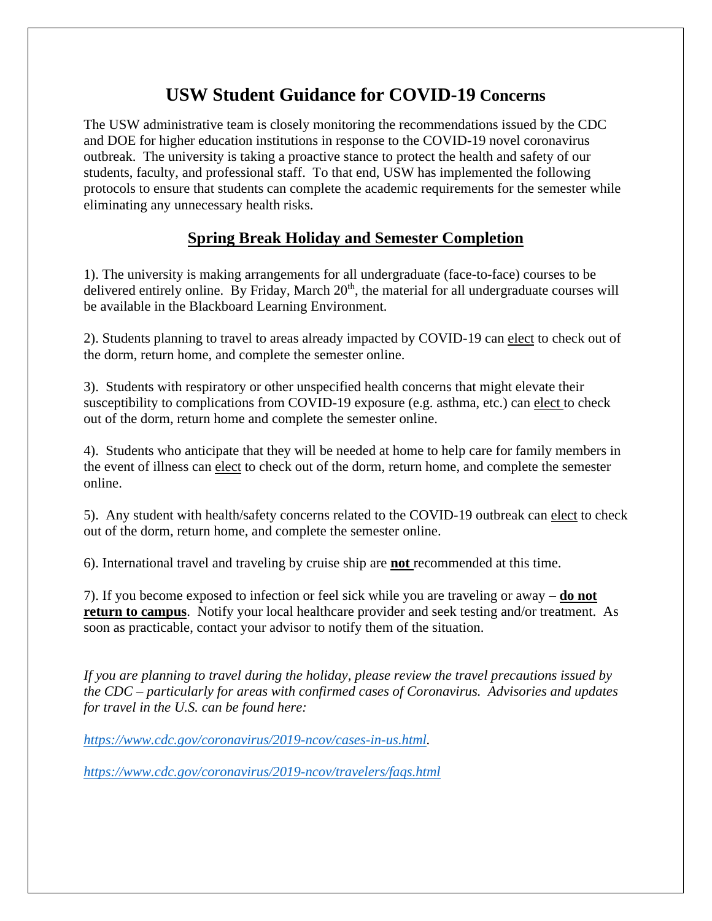# **USW Student Guidance for COVID-19 Concerns**

The USW administrative team is closely monitoring the recommendations issued by the CDC and DOE for higher education institutions in response to the COVID-19 novel coronavirus outbreak. The university is taking a proactive stance to protect the health and safety of our students, faculty, and professional staff. To that end, USW has implemented the following protocols to ensure that students can complete the academic requirements for the semester while eliminating any unnecessary health risks.

### **Spring Break Holiday and Semester Completion**

1). The university is making arrangements for all undergraduate (face-to-face) courses to be delivered entirely online. By Friday, March  $20<sup>th</sup>$ , the material for all undergraduate courses will be available in the Blackboard Learning Environment.

2). Students planning to travel to areas already impacted by COVID-19 can elect to check out of the dorm, return home, and complete the semester online.

3). Students with respiratory or other unspecified health concerns that might elevate their susceptibility to complications from COVID-19 exposure (e.g. asthma, etc.) can elect to check out of the dorm, return home and complete the semester online.

4). Students who anticipate that they will be needed at home to help care for family members in the event of illness can elect to check out of the dorm, return home, and complete the semester online.

5). Any student with health/safety concerns related to the COVID-19 outbreak can elect to check out of the dorm, return home, and complete the semester online.

6). International travel and traveling by cruise ship are **not** recommended at this time.

7). If you become exposed to infection or feel sick while you are traveling or away – **do not return to campus**. Notify your local healthcare provider and seek testing and/or treatment. As soon as practicable, contact your advisor to notify them of the situation.

*If you are planning to travel during the holiday, please review the travel precautions issued by the CDC – particularly for areas with confirmed cases of Coronavirus. Advisories and updates for travel in the U.S. can be found here:* 

*[https://www.cdc.gov/coronavirus/2019-ncov/cases-in-us.html.](https://www.cdc.gov/coronavirus/2019-ncov/cases-in-us.html)*

*<https://www.cdc.gov/coronavirus/2019-ncov/travelers/faqs.html>*